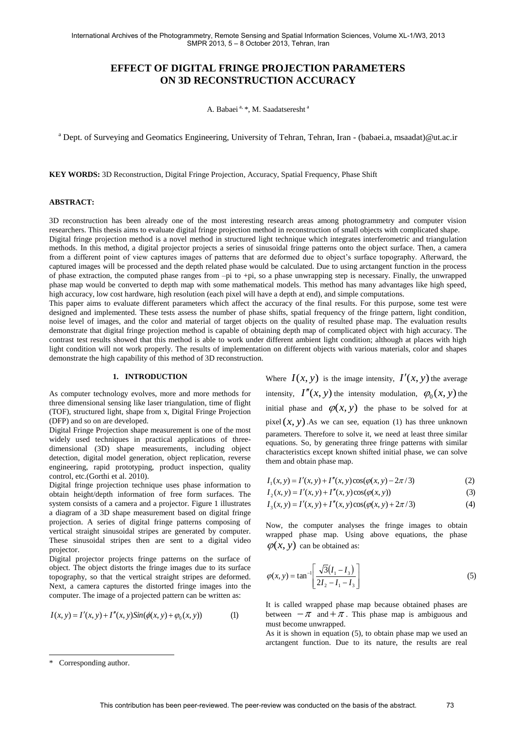# **EFFECT OF DIGITAL FRINGE PROJECTION PARAMETERS ON 3D RECONSTRUCTION ACCURACY**

A. Babaei<sup>a, \*</sup>, M. Saadatseresht<sup>a</sup>

<sup>a</sup> Dept. of Surveying and Geomatics Engineering, University of Tehran, Tehran, Iran - (babaei.a, msaadat)@ut.ac.ir

**KEY WORDS:** 3D Reconstruction, Digital Fringe Projection, Accuracy, Spatial Frequency, Phase Shift

## **ABSTRACT:**

3D reconstruction has been already one of the most interesting research areas among photogrammetry and computer vision researchers. This thesis aims to evaluate digital fringe projection method in reconstruction of small objects with complicated shape. Digital fringe projection method is a novel method in structured light technique which integrates interferometric and triangulation methods. In this method, a digital projector projects a series of sinusoidal fringe patterns onto the object surface. Then, a camera from a different point of view captures images of patterns that are deformed due to object's surface topography. Afterward, the captured images will be processed and the depth related phase would be calculated. Due to using arctangent function in the process of phase extraction, the computed phase ranges from –pi to +pi, so a phase unwrapping step is necessary. Finally, the unwrapped phase map would be converted to depth map with some mathematical models. This method has many advantages like high speed, high accuracy, low cost hardware, high resolution (each pixel will have a depth at end), and simple computations.

This paper aims to evaluate different parameters which affect the accuracy of the final results. For this purpose, some test were designed and implemented. These tests assess the number of phase shifts, spatial frequency of the fringe pattern, light condition, noise level of images, and the color and material of target objects on the quality of resulted phase map. The evaluation results demonstrate that digital fringe projection method is capable of obtaining depth map of complicated object with high accuracy. The contrast test results showed that this method is able to work under different ambient light condition; although at places with high light condition will not work properly. The results of implementation on different objects with various materials, color and shapes demonstrate the high capability of this method of 3D reconstruction.

#### **1. INTRODUCTION**

As computer technology evolves, more and more methods for three dimensional sensing like laser triangulation, time of flight (TOF), structured light, shape from x, Digital Fringe Projection (DFP) and so on are developed.

Digital Fringe Projection shape measurement is one of the most widely used techniques in practical applications of threedimensional (3D) shape measurements, including object detection, digital model generation, object replication, reverse engineering, rapid prototyping, product inspection, quality control, etc.(Gorthi et al. 2010).

Digital fringe projection technique uses phase information to obtain height/depth information of free form surfaces. The system consists of a camera and a projector. Figure 1 illustrates a diagram of a 3D shape measurement based on digital fringe projection. A series of digital fringe patterns composing of vertical straight sinusoidal stripes are generated by computer. These sinusoidal stripes then are sent to a digital video projector.

Digital projector projects fringe patterns on the surface of object. The object distorts the fringe images due to its surface topography, so that the vertical straight stripes are deformed. Next, a camera captures the distorted fringe images into the computer. The image of a projected pattern can be written as:

$$
I(x, y) = I'(x, y) + I''(x, y) \sin(\phi(x, y) + \phi_0(x, y))
$$
 (1)

Where  $I(x, y)$  is the image intensity,  $I'(x, y)$  the average intensity,  $I''(x, y)$  the intensity modulation,  $\varphi_0(x, y)$  the initial phase and  $\varphi(x, y)$  the phase to be solved for at pixel  $(x, y)$ . As we can see, equation (1) has three unknown parameters. Therefore to solve it, we need at least three similar equations. So, by generating three fringe patterns with similar characteristics except known shifted initial phase, we can solve them and obtain phase map.

$$
I_1(x, y) = I'(x, y) + I''(x, y)\cos(\varphi(x, y) - 2\pi/3)
$$
 (2)

$$
I_2(x, y) = I'(x, y) + I''(x, y)\cos(\varphi(x, y))
$$
\n(3)

$$
I_3(x, y) = I'(x, y) + I''(x, y)\cos(\varphi(x, y) + 2\pi/3)
$$
 (4)

Now, the computer analyses the fringe images to obtain wrapped phase map. Using above equations, the phase  $\varphi(x, y)$  can be obtained as:

$$
\varphi(x, y) = \tan^{-1} \left[ \frac{\sqrt{3}(I_1 - I_3)}{2I_2 - I_1 - I_3} \right]
$$
\n(5)

It is called wrapped phase map because obtained phases are between  $-\pi$  and  $+\pi$ . This phase map is ambiguous and must become unwrapped.

As it is shown in equation (5), to obtain phase map we used an arctangent function. Due to its nature, the results are real

 $\overline{a}$ 

<sup>\*</sup> Corresponding author.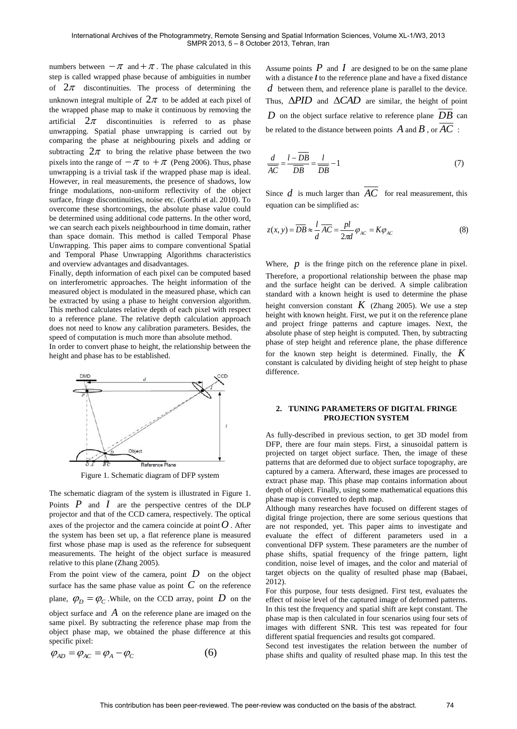numbers between  $-\pi$  and  $+\pi$ . The phase calculated in this step is called wrapped phase because of ambiguities in number of  $2\pi$  discontinuities. The process of determining the unknown integral multiple of  $2\pi$  to be added at each pixel of the wrapped phase map to make it continuous by removing the artificial  $2\pi$  discontinuities is referred to as phase unwrapping. Spatial phase unwrapping is carried out by comparing the phase at neighbouring pixels and adding or subtracting  $2\pi$  to bring the relative phase between the two pixels into the range of  $-\pi$  to  $+\pi$  (Peng 2006). Thus, phase unwrapping is a trivial task if the wrapped phase map is ideal. However, in real measurements, the presence of shadows, low fringe modulations, non-uniform reflectivity of the object surface, fringe discontinuities, noise etc. (Gorthi et al. 2010). To overcome these shortcomings, the absolute phase value could be determined using additional code patterns. In the other word, we can search each pixels neighbourhood in time domain, rather than space domain. This method is called Temporal Phase Unwrapping. This paper aims to compare conventional Spatial and Temporal Phase Unwrapping Algorithms characteristics and overview advantages and disadvantages.

Finally, depth information of each pixel can be computed based on interferometric approaches. The height information of the measured object is modulated in the measured phase, which can be extracted by using a phase to height conversion algorithm. This method calculates relative depth of each pixel with respect to a reference plane. The relative depth calculation approach does not need to know any calibration parameters. Besides, the speed of computation is much more than absolute method.

In order to convert phase to height, the relationship between the height and phase has to be established.



Figure 1. Schematic diagram of DFP system

The schematic diagram of the system is illustrated in Figure 1. Points  $P$  and  $I$  are the perspective centres of the DLP projector and that of the CCD camera, respectively. The optical axes of the projector and the camera coincide at point  $O$  . After the system has been set up, a flat reference plane is measured first whose phase map is used as the reference for subsequent measurements. The height of the object surface is measured relative to this plane (Zhang 2005).

From the point view of the camera, point  $D$  on the object surface has the same phase value as point  $C$  on the reference plane,  $\varphi_D = \varphi_C$ . While, on the CCD array, point D on the object surface and *A* on the reference plane are imaged on the same pixel. By subtracting the reference phase map from the object phase map, we obtained the phase difference at this specific pixel:

$$
\varphi_{AD} = \varphi_{AC} = \varphi_A - \varphi_C \tag{6}
$$

Assume points  $P$  and  $I$  are designed to be on the same plane with a distance *l* to the reference plane and have a fixed distance *d* between them, and reference plane is parallel to the device. Thus,  $\triangle PID$  and  $\triangle CAD$  are similar, the height of point *D* on the object surface relative to reference plane *DB* can be related to the distance between points  $\emph{A}$  and  $\emph{B}$  , or  $\emph{AC}$  :

$$
\frac{d}{\overline{AC}} = \frac{l - \overline{DB}}{\overline{DB}} = \frac{l}{\overline{DB}} - 1\tag{7}
$$

Since  $d$  is much larger than  $AC$  for real measurement, this equation can be simplified as:

$$
z(x, y) = \overline{DB} \approx \frac{l}{d} \overline{AC} = \frac{pl}{2\pi d} \varphi_{AC} = K\varphi_{AC}
$$
 (8)

Where,  $p$  is the fringe pitch on the reference plane in pixel. Therefore, a proportional relationship between the phase map and the surface height can be derived. A simple calibration standard with a known height is used to determine the phase height conversion constant *K* (Zhang 2005). We use a step height with known height. First, we put it on the reference plane and project fringe patterns and capture images. Next, the absolute phase of step height is computed. Then, by subtracting phase of step height and reference plane, the phase difference for the known step height is determined. Finally, the *K* constant is calculated by dividing height of step height to phase difference.

## **2. TUNING PARAMETERS OF DIGITAL FRINGE PROJECTION SYSTEM**

As fully-described in previous section, to get 3D model from DFP, there are four main steps. First, a sinusoidal pattern is projected on target object surface. Then, the image of these patterns that are deformed due to object surface topography, are captured by a camera. Afterward, these images are processed to extract phase map. This phase map contains information about depth of object. Finally, using some mathematical equations this phase map is converted to depth map.

Although many researches have focused on different stages of digital fringe projection, there are some serious questions that are not responded, yet. This paper aims to investigate and evaluate the effect of different parameters used in a conventional DFP system. These parameters are the number of phase shifts, spatial frequency of the fringe pattern, light condition, noise level of images, and the color and material of target objects on the quality of resulted phase map (Babaei, 2012).

For this purpose, four tests designed. First test, evaluates the effect of noise level of the captured image of deformed patterns. In this test the frequency and spatial shift are kept constant. The phase map is then calculated in four scenarios using four sets of images with different SNR. This test was repeated for four different spatial frequencies and results got compared.

Second test investigates the relation between the number of phase shifts and quality of resulted phase map. In this test the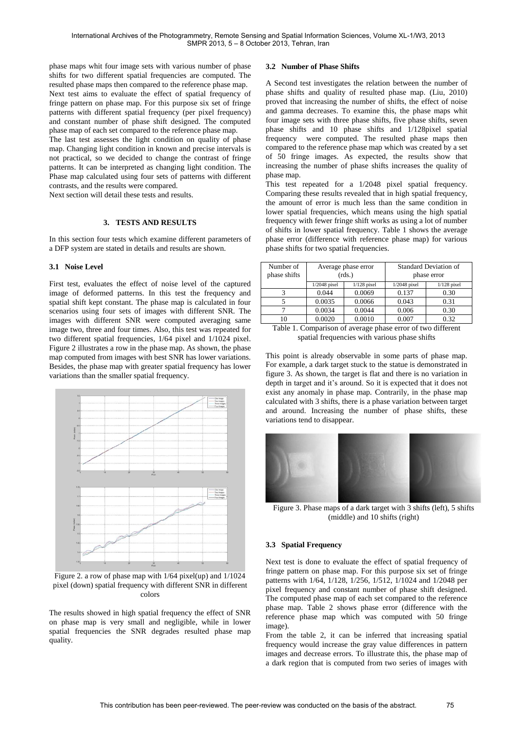phase maps whit four image sets with various number of phase shifts for two different spatial frequencies are computed. The resulted phase maps then compared to the reference phase map. Next test aims to evaluate the effect of spatial frequency of fringe pattern on phase map. For this purpose six set of fringe patterns with different spatial frequency (per pixel frequency) and constant number of phase shift designed. The computed phase map of each set compared to the reference phase map.

The last test assesses the light condition on quality of phase map. Changing light condition in known and precise intervals is not practical, so we decided to change the contrast of fringe patterns. It can be interpreted as changing light condition. The Phase map calculated using four sets of patterns with different contrasts, and the results were compared.

Next section will detail these tests and results.

## **3. TESTS AND RESULTS**

In this section four tests which examine different parameters of a DFP system are stated in details and results are shown.

#### **3.1 Noise Level**

First test, evaluates the effect of noise level of the captured image of deformed patterns. In this test the frequency and spatial shift kept constant. The phase map is calculated in four scenarios using four sets of images with different SNR. The images with different SNR were computed averaging same image two, three and four times. Also, this test was repeated for two different spatial frequencies, 1/64 pixel and 1/1024 pixel. Figure 2 illustrates a row in the phase map. As shown, the phase map computed from images with best SNR has lower variations. Besides, the phase map with greater spatial frequency has lower variations than the smaller spatial frequency.



Figure 2. a row of phase map with 1/64 pixel(up) and 1/1024 pixel (down) spatial frequency with different SNR in different colors

The results showed in high spatial frequency the effect of SNR on phase map is very small and negligible, while in lower spatial frequencies the SNR degrades resulted phase map quality.

#### **3.2 Number of Phase Shifts**

A Second test investigates the relation between the number of phase shifts and quality of resulted phase map. (Liu, 2010) proved that increasing the number of shifts, the effect of noise and gamma decreases. To examine this, the phase maps whit four image sets with three phase shifts, five phase shifts, seven phase shifts and 10 phase shifts and 1/128pixel spatial frequency were computed. The resulted phase maps then compared to the reference phase map which was created by a set of 50 fringe images. As expected, the results show that increasing the number of phase shifts increases the quality of phase map.

This test repeated for a 1/2048 pixel spatial frequency. Comparing these results revealed that in high spatial frequency, the amount of error is much less than the same condition in lower spatial frequencies, which means using the high spatial frequency with fewer fringe shift works as using a lot of number of shifts in lower spatial frequency. Table 1 shows the average phase error (difference with reference phase map) for various phase shifts for two spatial frequencies.

| Number of<br>phase shifts     | Average phase error<br>(rds.) |               | <b>Standard Deviation of</b><br>phase error |               |
|-------------------------------|-------------------------------|---------------|---------------------------------------------|---------------|
|                               | $1/2048$ pixel                | $1/128$ pixel | $1/2048$ pixel                              | $1/128$ pixel |
|                               | 0.044                         | 0.0069        | 0.137                                       | 0.30          |
|                               | 0.0035                        | 0.0066        | 0.043                                       | 0.31          |
|                               | 0.0034                        | 0.0044        | 0.006                                       | 0.30          |
| 10                            | 0.0020                        | 0.0010        | 0.007                                       | 0.32          |
| $T = 1.1$<br>$\sqrt{ }$<br>и. |                               | c             | $\mathbf{r}$ .                              | 1.00<br>. .   |

| Table 1. Comparison of average phase error of two different |  |
|-------------------------------------------------------------|--|
| spatial frequencies with various phase shifts               |  |

This point is already observable in some parts of phase map. For example, a dark target stuck to the statue is demonstrated in figure 3. As shown, the target is flat and there is no variation in depth in target and it's around. So it is expected that it does not exist any anomaly in phase map. Contrarily, in the phase map calculated with 3 shifts, there is a phase variation between target and around. Increasing the number of phase shifts, these variations tend to disappear.



Figure 3. Phase maps of a dark target with 3 shifts (left), 5 shifts (middle) and 10 shifts (right)

#### **3.3 Spatial Frequency**

Next test is done to evaluate the effect of spatial frequency of fringe pattern on phase map. For this purpose six set of fringe patterns with 1/64, 1/128, 1/256, 1/512, 1/1024 and 1/2048 per pixel frequency and constant number of phase shift designed. The computed phase map of each set compared to the reference phase map. Table 2 shows phase error (difference with the reference phase map which was computed with 50 fringe image).

From the table 2, it can be inferred that increasing spatial frequency would increase the gray value differences in pattern images and decrease errors. To illustrate this, the phase map of a dark region that is computed from two series of images with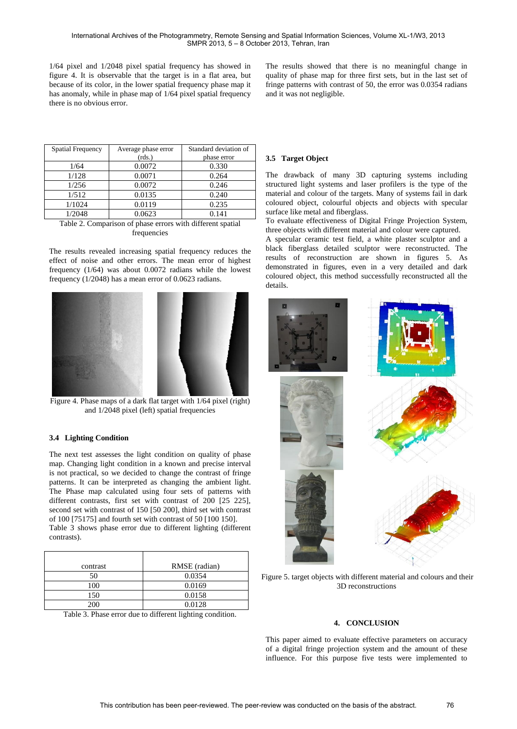1/64 pixel and 1/2048 pixel spatial frequency has showed in figure 4. It is observable that the target is in a flat area, but because of its color, in the lower spatial frequency phase map it has anomaly, while in phase map of 1/64 pixel spatial frequency there is no obvious error.

The results showed that there is no meaningful change in quality of phase map for three first sets, but in the last set of fringe patterns with contrast of 50, the error was 0.0354 radians and it was not negligible.

| <b>Spatial Frequency</b> | Average phase error | Standard deviation of |
|--------------------------|---------------------|-----------------------|
|                          | (rds.)              | phase error           |
| 1/64                     | 0.0072              | 0.330                 |
| 1/128                    | 0.0071              | 0.264                 |
| 1/256                    | 0.0072              | 0.246                 |
| 1/512                    | 0.0135              | 0.240                 |
| 1/1024                   | 0.0119              | 0.235                 |
| 1/2048                   | 0.0623              | 0.141                 |

Table 2. Comparison of phase errors with different spatial frequencies

The results revealed increasing spatial frequency reduces the effect of noise and other errors. The mean error of highest frequency (1/64) was about 0.0072 radians while the lowest frequency (1/2048) has a mean error of 0.0623 radians.



Figure 4. Phase maps of a dark flat target with 1/64 pixel (right) and 1/2048 pixel (left) spatial frequencies

# **3.4 Lighting Condition**

The next test assesses the light condition on quality of phase map. Changing light condition in a known and precise interval is not practical, so we decided to change the contrast of fringe patterns. It can be interpreted as changing the ambient light. The Phase map calculated using four sets of patterns with different contrasts, first set with contrast of 200 [25 225]. second set with contrast of 150 [50 200], third set with contrast of 100 [75175] and fourth set with contrast of 50 [100 150].

Table 3 shows phase error due to different lighting (different contrasts).

| contrast | RMSE (radian) |
|----------|---------------|
| 50       | 0.0354        |
| 100      | 0.0169        |
| 150      | 0.0158        |
| 200      | 0.0128        |

Table 3. Phase error due to different lighting condition.

#### **3.5 Target Object**

The drawback of many 3D capturing systems including structured light systems and laser profilers is the type of the material and colour of the targets. Many of systems fail in dark coloured object, colourful objects and objects with specular surface like metal and fiberglass.

To evaluate effectiveness of Digital Fringe Projection System, three objects with different material and colour were captured.

A specular ceramic test field, a white plaster sculptor and a black fiberglass detailed sculptor were reconstructed. The results of reconstruction are shown in figures 5. As demonstrated in figures, even in a very detailed and dark coloured object, this method successfully reconstructed all the details.



Figure 5. target objects with different material and colours and their 3D reconstructions

#### **4. CONCLUSION**

This paper aimed to evaluate effective parameters on accuracy of a digital fringe projection system and the amount of these influence. For this purpose five tests were implemented to